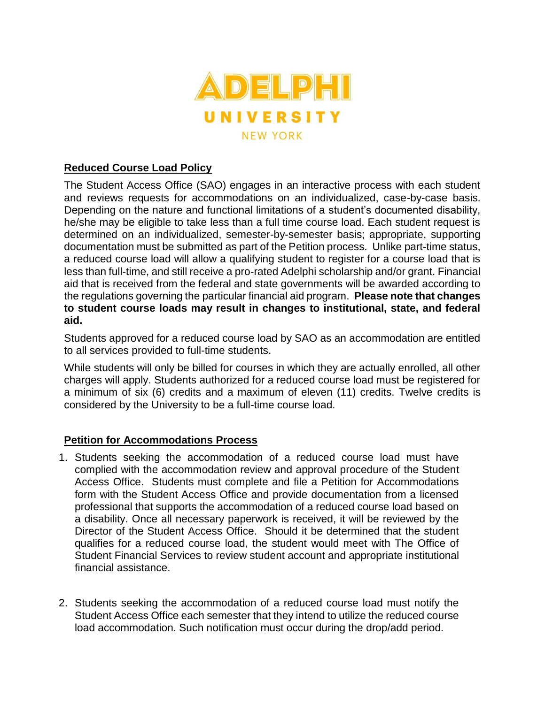

## **Reduced Course Load Policy**

The Student Access Office (SAO) engages in an interactive process with each student and reviews requests for accommodations on an individualized, case-by-case basis. Depending on the nature and functional limitations of a student's documented disability, he/she may be eligible to take less than a full time course load. Each student request is determined on an individualized, semester-by-semester basis; appropriate, supporting documentation must be submitted as part of the Petition process. Unlike part-time status, a reduced course load will allow a qualifying student to register for a course load that is less than full-time, and still receive a pro-rated Adelphi scholarship and/or grant. Financial aid that is received from the federal and state governments will be awarded according to the regulations governing the particular financial aid program. **Please note that changes to student course loads may result in changes to institutional, state, and federal aid.**

Students approved for a reduced course load by SAO as an accommodation are entitled to all services provided to full-time students.

While students will only be billed for courses in which they are actually enrolled, all other charges will apply. Students authorized for a reduced course load must be registered for a minimum of six (6) credits and a maximum of eleven (11) credits. Twelve credits is considered by the University to be a full-time course load.

## **Petition for Accommodations Process**

- 1. Students seeking the accommodation of a reduced course load must have complied with the accommodation review and approval procedure of the Student Access Office. Students must complete and file a Petition for Accommodations form with the Student Access Office and provide documentation from a licensed professional that supports the accommodation of a reduced course load based on a disability. Once all necessary paperwork is received, it will be reviewed by the Director of the Student Access Office. Should it be determined that the student qualifies for a reduced course load, the student would meet with The Office of Student Financial Services to review student account and appropriate institutional financial assistance.
- 2. Students seeking the accommodation of a reduced course load must notify the Student Access Office each semester that they intend to utilize the reduced course load accommodation. Such notification must occur during the drop/add period.